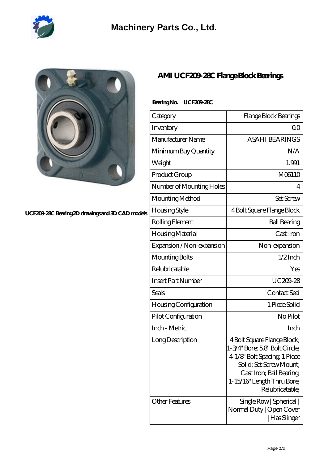

## **[Machinery Parts Co., Ltd.](https://m.diours.com)**

**[UCF209-28C Bearing 2D drawings and 3D CAD models](https://m.diours.com/pic-379835.html)**

## **[AMI UCF209-28C Flange Block Bearings](https://m.diours.com/ami-ucf209-28c-bearing/)**

## **Bearing No. UCF209-28C**

| Category                     | Flange Block Bearings                                                                                                                                                                               |
|------------------------------|-----------------------------------------------------------------------------------------------------------------------------------------------------------------------------------------------------|
| Inventory                    | 0 <sub>0</sub>                                                                                                                                                                                      |
| Manufacturer Name            | <b>ASAHI BEARINGS</b>                                                                                                                                                                               |
| Minimum Buy Quantity         | N/A                                                                                                                                                                                                 |
| Weight                       | 1.991                                                                                                                                                                                               |
| Product Group                | M06110                                                                                                                                                                                              |
| Number of Mounting Holes     | 4                                                                                                                                                                                                   |
| Mounting Method              | <b>Set Screw</b>                                                                                                                                                                                    |
| <b>Housing Style</b>         | 4 Bolt Square Flange Block                                                                                                                                                                          |
| Rolling Element              | <b>Ball Bearing</b>                                                                                                                                                                                 |
| Housing Material             | Cast Iron                                                                                                                                                                                           |
| Expansion / Non-expansion    | Non-expansion                                                                                                                                                                                       |
| Mounting Bolts               | $1/2$ Inch                                                                                                                                                                                          |
| Relubricatable               | Yes                                                                                                                                                                                                 |
| <b>Insert Part Number</b>    | UC209-28                                                                                                                                                                                            |
| Seals                        | Contact Seal                                                                                                                                                                                        |
| <b>Housing Configuration</b> | 1 Piece Solid                                                                                                                                                                                       |
| Pilot Configuration          | No Pilot                                                                                                                                                                                            |
| Inch - Metric                | Inch                                                                                                                                                                                                |
| Long Description             | 4 Bolt Square Flange Block;<br>1-3/4" Bore; 58" Bolt Circle;<br>4 1/8" Bolt Spacing 1 Piece<br>Solid: Set Screw Mount:<br>Cast Iron; Ball Bearing;<br>1-15/16" Length Thru Bore;<br>Relubricatable; |
| <b>Other Features</b>        | Single Row   Spherical  <br>Normal Duty   Open Cover<br>  Has Slinger                                                                                                                               |